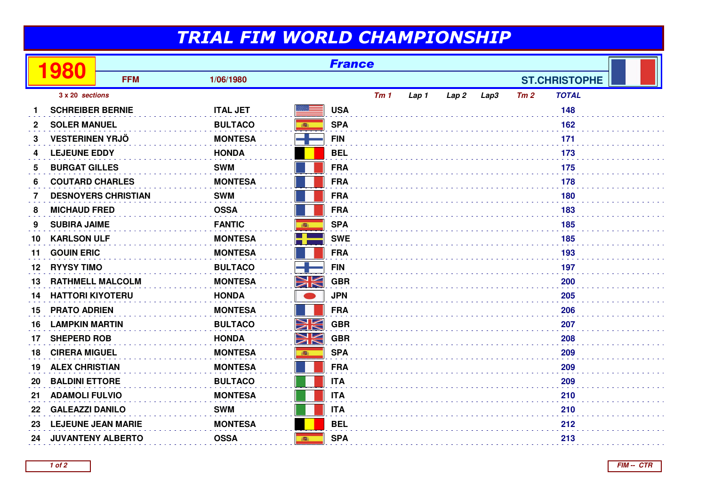## TRIAL FIM WORLD CHAMPIONSHIP

|                 | 980                       | <b>France</b>              |                 |          |            |                 |       |                  |      |     |                      |  |
|-----------------|---------------------------|----------------------------|-----------------|----------|------------|-----------------|-------|------------------|------|-----|----------------------|--|
|                 |                           | <b>FFM</b>                 | 1/06/1980       |          |            |                 |       |                  |      |     | <b>ST.CHRISTOPHE</b> |  |
| 3 x 20 sections |                           |                            |                 |          |            | Tm <sub>1</sub> | Lap 1 | Lap <sub>2</sub> | Lap3 | Tm2 | <b>TOTAL</b>         |  |
|                 | <b>SCHREIBER BERNIE</b>   |                            | <b>ITAL JET</b> |          | <b>USA</b> |                 |       |                  |      |     | 148                  |  |
| $\mathbf{2}$    | <b>SOLER MANUEL</b>       |                            | <b>BULTACO</b>  | 高        | <b>SPA</b> |                 |       |                  |      |     | 162                  |  |
| 3               | <b>VESTERINEN YRJÖ</b>    |                            | <b>MONTESA</b>  |          | <b>FIN</b> |                 |       |                  |      |     | 171                  |  |
| 4               | <b>LEJEUNE EDDY</b>       |                            | <b>HONDA</b>    |          | <b>BEL</b> |                 |       |                  |      |     | 173                  |  |
| 5               | <b>BURGAT GILLES</b>      |                            | <b>SWM</b>      |          | <b>FRA</b> |                 |       |                  |      |     | 175                  |  |
| 6               | <b>COUTARD CHARLES</b>    |                            | <b>MONTESA</b>  |          | <b>FRA</b> |                 |       |                  |      |     | 178                  |  |
| 7               |                           | <b>DESNOYERS CHRISTIAN</b> | <b>SWM</b>      |          | <b>FRA</b> |                 |       |                  |      |     | 180                  |  |
| 8               | <b>MICHAUD FRED</b>       |                            | <b>OSSA</b>     |          | <b>FRA</b> |                 |       |                  |      |     | 183                  |  |
| 9               | <b>SUBIRA JAIME</b>       |                            | <b>FANTIC</b>   | 瓣        | <b>SPA</b> |                 |       |                  |      |     | 185                  |  |
| 10              | <b>KARLSON ULF</b>        |                            | <b>MONTESA</b>  |          | <b>SWE</b> |                 |       |                  |      |     | 185                  |  |
| 11              | <b>GOUIN ERIC</b>         |                            | <b>MONTESA</b>  |          | <b>FRA</b> |                 |       |                  |      |     | 193                  |  |
| 12              | <b>RYYSY TIMO</b>         |                            | <b>BULTACO</b>  |          | <b>FIN</b> |                 |       |                  |      |     | 197                  |  |
| 13              | <b>RATHMELL MALCOLM</b>   |                            | <b>MONTESA</b>  | NK       | <b>GBR</b> |                 |       |                  |      |     | 200                  |  |
| 14              | <b>HATTORI KIYOTERU</b>   |                            | <b>HONDA</b>    |          | <b>JPN</b> |                 |       |                  |      |     | 205                  |  |
| 15              | <b>PRATO ADRIEN</b>       |                            | <b>MONTESA</b>  |          | <b>FRA</b> |                 |       |                  |      |     | 206                  |  |
| 16              | <b>LAMPKIN MARTIN</b>     |                            | <b>BULTACO</b>  | NK<br>NK | <b>GBR</b> |                 |       |                  |      |     | 207                  |  |
| 17              | <b>SHEPERD ROB</b>        |                            | <b>HONDA</b>    | NV<br>ZN | <b>GBR</b> |                 |       |                  |      |     | 208                  |  |
| 18              | <b>CIRERA MIGUEL</b>      |                            | <b>MONTESA</b>  | 高        | <b>SPA</b> |                 |       |                  |      |     | 209                  |  |
| 19              | <b>ALEX CHRISTIAN</b>     |                            | <b>MONTESA</b>  |          | <b>FRA</b> |                 |       |                  |      |     | 209                  |  |
| 20              | <b>BALDINI ETTORE</b>     |                            | <b>BULTACO</b>  |          | <b>ITA</b> |                 |       |                  |      |     | 209                  |  |
| 21              | <b>ADAMOLI FULVIO</b>     |                            | <b>MONTESA</b>  |          | <b>ITA</b> |                 |       |                  |      |     | 210                  |  |
| 22              | <b>GALEAZZI DANILO</b>    |                            | <b>SWM</b>      |          | <b>ITA</b> |                 |       |                  |      |     | 210                  |  |
| 23              | <b>LEJEUNE JEAN MARIE</b> |                            | <b>MONTESA</b>  |          | <b>BEL</b> |                 |       |                  |      |     | 212                  |  |
| 24              | <b>JUVANTENY ALBERTO</b>  |                            | <b>OSSA</b>     | 瓣        | <b>SPA</b> |                 |       |                  |      |     | 213                  |  |
|                 |                           |                            |                 |          |            |                 |       |                  |      |     |                      |  |